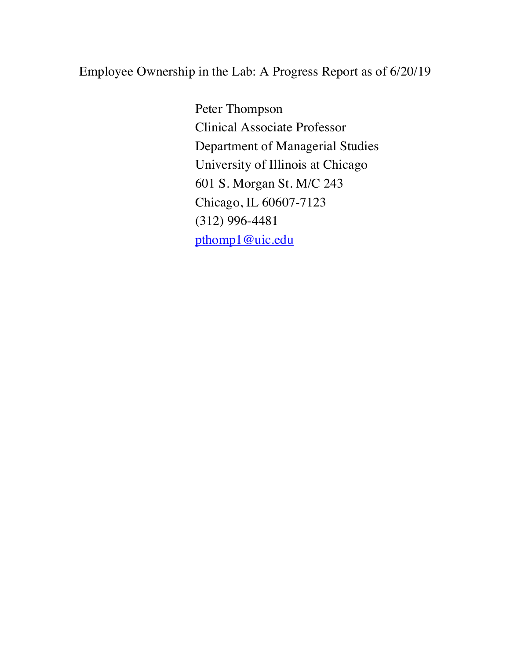# Employee Ownership in the Lab: A Progress Report as of 6/20/19

Peter Thompson Clinical Associate Professor Department of Managerial Studies University of Illinois at Chicago 601 S. Morgan St. M/C 243 Chicago, IL 60607-7123 (312) 996-4481 pthomp1@uic.edu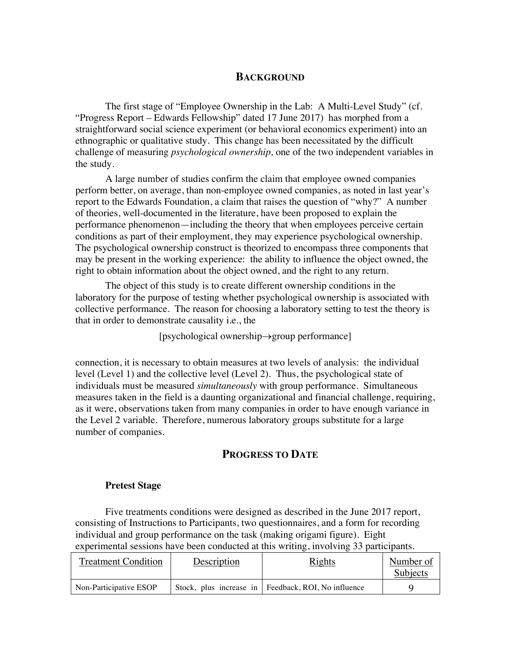### **BACKGROUND**

The first stage of "Employee Ownership in the Lab: A Multi-Level Study" (cf. "Progress Report – Edwards Fellowship" dated 17 June 2017) has morphed from a straightforward social science experiment (or behavioral economics experiment) into an ethnographic or qualitative study. This change has been necessitated by the difficult challenge of measuring *psychological ownership,* one of the two independent variables in the study.

A large number of studies confirm the claim that employee owned companies perform better, on average, than non-employee owned companies, as noted in last year's report to the Edwards Foundation, a claim that raises the question of "why?" A number of theories, well-documented in the literature, have been proposed to explain the performance phenomenon—including the theory that when employees perceive certain conditions as part of their employment, they may experience psychological ownership. The psychological ownership construct is theorized to encompass three components that may be present in the working experience: the ability to influence the object owned, the right to obtain information about the object owned, and the right to any return.

The object of this study is to create different ownership conditions in the laboratory for the purpose of testing whether psychological ownership is associated with collective performance. The reason for choosing a laboratory setting to test the theory is that in order to demonstrate causality i.e., the

 $[$ psychological ownership $\rightarrow$ group performance]

connection, it is necessary to obtain measures at two levels of analysis: the individual level (Level 1) and the collective level (Level 2). Thus, the psychological state of individuals must be measured *simultaneously* with group performance. Simultaneous measures taken in the field is a daunting organizational and financial challenge, requiring, as it were, observations taken from many companies in order to have enough variance in the Level 2 variable. Therefore, numerous laboratory groups substitute for a large number of companies.

## **PROGRESS TO DATE**

### **Pretest Stage**

Five treatments conditions were designed as described in the June 2017 report, consisting of Instructions to Participants, two questionnaires, and a form for recording individual and group performance on the task (making origami figure). Eight experimental sessions have been conducted at this writing, involving 33 participants.

| <b>Treatment Condition</b> | Description | <b>Rights</b>                                         | Number of<br>Subjects |
|----------------------------|-------------|-------------------------------------------------------|-----------------------|
| Non-Participative ESOP     |             | Stock, plus increase in   Feedback, ROI, No influence |                       |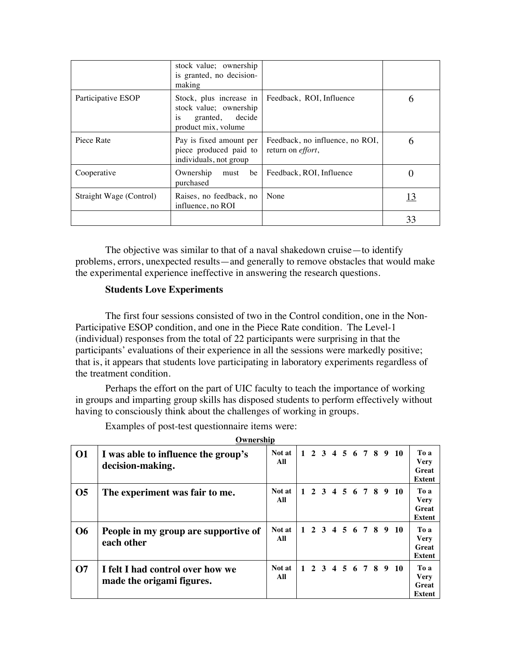|                         | stock value; ownership<br>is granted, no decision-<br>making                       |                                                              |    |
|-------------------------|------------------------------------------------------------------------------------|--------------------------------------------------------------|----|
| Participative ESOP      | stock value; ownership<br>granted, decide<br><sup>1</sup> S<br>product mix, volume | Stock, plus increase in   Feedback, ROI, Influence           | h  |
| Piece Rate              | Pay is fixed amount per<br>piece produced paid to<br>individuals, not group        | Feedback, no influence, no ROI,<br>return on <i>effort</i> , | 6  |
| Cooperative             | Ownership<br>be<br>must<br>purchased                                               | Feedback, ROI, Influence                                     |    |
| Straight Wage (Control) | Raises, no feedback, no<br>influence, no ROI                                       | None                                                         | 13 |
|                         |                                                                                    |                                                              | 33 |

The objective was similar to that of a naval shakedown cruise—to identify problems, errors, unexpected results—and generally to remove obstacles that would make the experimental experience ineffective in answering the research questions.

### **Students Love Experiments**

The first four sessions consisted of two in the Control condition, one in the Non-Participative ESOP condition, and one in the Piece Rate condition. The Level-1 (individual) responses from the total of 22 participants were surprising in that the participants' evaluations of their experience in all the sessions were markedly positive; that is, it appears that students love participating in laboratory experiments regardless of the treatment condition.

Perhaps the effort on the part of UIC faculty to teach the importance of working in groups and imparting group skills has disposed students to perform effectively without having to consciously think about the challenges of working in groups.

|                | Ownership                                                     |               |              |  |  |  |  |                      |                                        |
|----------------|---------------------------------------------------------------|---------------|--------------|--|--|--|--|----------------------|----------------------------------------|
| <b>O1</b>      | I was able to influence the group's<br>decision-making.       | Not at<br>All |              |  |  |  |  | 1 2 3 4 5 6 7 8 9 10 | To a<br>Very<br>Great<br><b>Extent</b> |
| O <sub>5</sub> | The experiment was fair to me.                                | Not at<br>All | $\mathbf{1}$ |  |  |  |  | 2 3 4 5 6 7 8 9 10   | To a<br><b>Very</b><br>Great<br>Extent |
| <b>O6</b>      | People in my group are supportive of<br>each other            | Not at<br>All |              |  |  |  |  | 1 2 3 4 5 6 7 8 9 10 | To a<br><b>Very</b><br>Great<br>Extent |
| $\Omega$       | I felt I had control over how we<br>made the origami figures. | Not at<br>All | $\mathbf{1}$ |  |  |  |  | 2 3 4 5 6 7 8 9 10   | To a<br><b>Very</b><br>Great<br>Extent |

Examples of post-test questionnaire items were: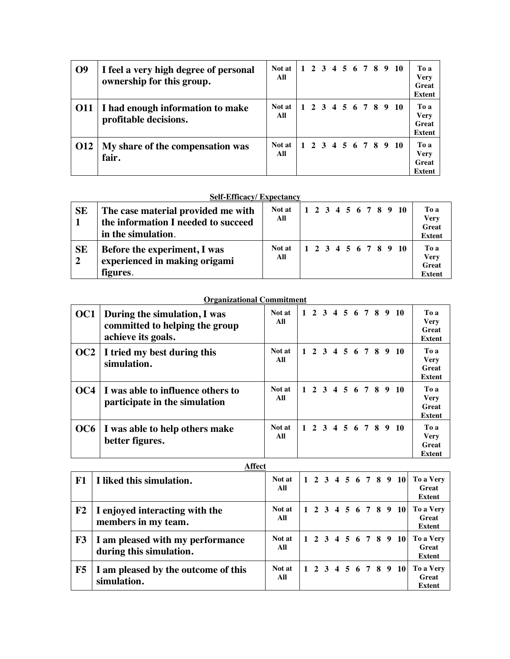| <b>O</b> <sup>9</sup> | I feel a very high degree of personal<br>ownership for this group. | Not at<br>All |  |  |  |  | 1 2 3 4 5 6 7 8 9 10 | To a<br><b>Very</b><br>Great<br><b>Extent</b> |
|-----------------------|--------------------------------------------------------------------|---------------|--|--|--|--|----------------------|-----------------------------------------------|
| 011                   | I had enough information to make<br>profitable decisions.          | Not at<br>All |  |  |  |  | 1 2 3 4 5 6 7 8 9 10 | To a<br><b>Very</b><br>Great<br><b>Extent</b> |
| <b>O12</b>            | My share of the compensation was<br>fair.                          | Not at<br>All |  |  |  |  | 1 2 3 4 5 6 7 8 9 10 | To a<br><b>Very</b><br>Great<br>Extent        |

### **Self-Efficacy/ Expectancy**

| <b>SE</b><br>$\vert$ 1  | The case material provided me with<br>the information I needed to succeed<br>in the simulation. | Not at<br>All |  |  |  |  | 12345678910          | To a<br><b>Very</b><br>Great<br><b>Extent</b>        |
|-------------------------|-------------------------------------------------------------------------------------------------|---------------|--|--|--|--|----------------------|------------------------------------------------------|
| <b>SE</b><br>$\sqrt{2}$ | Before the experiment, I was<br>experienced in making origami<br>figures.                       | Not at<br>All |  |  |  |  | 1 2 3 4 5 6 7 8 9 10 | To a<br><b>Very</b><br><b>Great</b><br><b>Extent</b> |

#### **Organizational Commitment**

| OC <sub>1</sub> | During the simulation, I was<br>committed to helping the group<br>achieve its goals. | Not at<br>All |  |  |  |  | 1 2 3 4 5 6 7 8 9 10 | To a<br><b>Very</b><br><b>Great</b><br>Extent |
|-----------------|--------------------------------------------------------------------------------------|---------------|--|--|--|--|----------------------|-----------------------------------------------|
| OC2             | I tried my best during this<br>simulation.                                           | Not at<br>All |  |  |  |  | 1 2 3 4 5 6 7 8 9 10 | To a<br><b>Very</b><br><b>Great</b><br>Extent |
| OC4             | I was able to influence others to<br>participate in the simulation                   | Not at<br>All |  |  |  |  | 1 2 3 4 5 6 7 8 9 10 | To a<br><b>Very</b><br>Great<br>Extent        |
|                 | OC6   I was able to help others make<br>better figures.                              | Not at<br>All |  |  |  |  | 1 2 3 4 5 6 7 8 9 10 | To a<br><b>Very</b><br>Great<br>Extent        |

#### **Affect**

|            | $\cdots$                                                    |               |  |  |  |  |                      |                                     |
|------------|-------------------------------------------------------------|---------------|--|--|--|--|----------------------|-------------------------------------|
| ${\bf F1}$ | I liked this simulation.                                    | Not at<br>All |  |  |  |  | 1 2 3 4 5 6 7 8 9 10 | To a Very<br>Great<br><b>Extent</b> |
| F2         | I enjoyed interacting with the<br>members in my team.       | Not at<br>All |  |  |  |  | 1 2 3 4 5 6 7 8 9 10 | To a Very<br>Great<br><b>Extent</b> |
| F3         | I am pleased with my performance<br>during this simulation. | Not at<br>All |  |  |  |  | 1 2 3 4 5 6 7 8 9 10 | To a Very<br>Great<br><b>Extent</b> |
| F5         | I am pleased by the outcome of this<br>simulation.          | Not at<br>All |  |  |  |  | 1 2 3 4 5 6 7 8 9 10 | To a Very<br>Great<br><b>Extent</b> |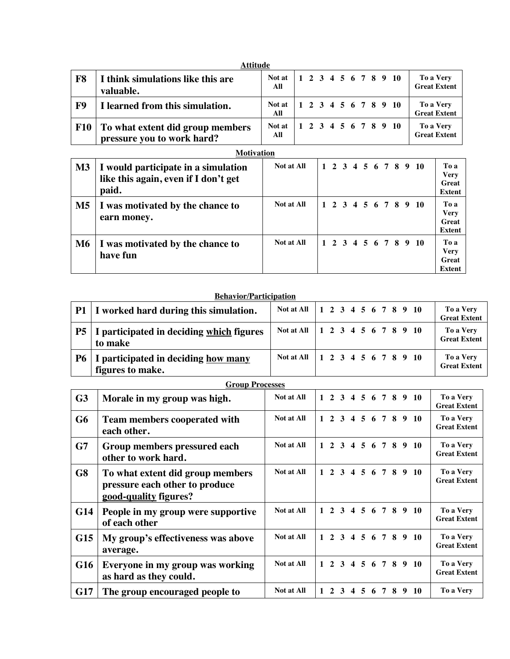|            | <b>Attitude</b>                                                |               |  |  |  |  |                      |                                  |
|------------|----------------------------------------------------------------|---------------|--|--|--|--|----------------------|----------------------------------|
| ${\bf F8}$ | I think simulations like this are<br>valuable.                 | Not at<br>All |  |  |  |  | 1 2 3 4 5 6 7 8 9 10 | To a Very<br><b>Great Extent</b> |
| <b>F9</b>  | I learned from this simulation.                                | Not at<br>All |  |  |  |  | 1 2 3 4 5 6 7 8 9 10 | To a Very<br><b>Great Extent</b> |
| <b>F10</b> | To what extent did group members<br>pressure you to work hard? | Not at<br>All |  |  |  |  | 1 2 3 4 5 6 7 8 9 10 | To a Very<br><b>Great Extent</b> |

| <b>Motivation</b> |  |
|-------------------|--|
|                   |  |

| $\mathbf{M}3$ | I would participate in a simulation<br>like this again, even if I don't get<br>paid. | Not at All |  |  |  |  | 1 2 3 4 5 6 7 8 9 10 | To a<br><b>Very</b><br>Great<br><b>Extent</b> |
|---------------|--------------------------------------------------------------------------------------|------------|--|--|--|--|----------------------|-----------------------------------------------|
| M5            | I was motivated by the chance to<br>earn money.                                      | Not at All |  |  |  |  | 1 2 3 4 5 6 7 8 9 10 | To a<br><b>Very</b><br>Great<br><b>Extent</b> |
| M6            | I was motivated by the chance to<br>have fun                                         | Not at All |  |  |  |  | 1 2 3 4 5 6 7 8 9 10 | To a<br><b>Very</b><br>Great<br><b>Extent</b> |

### **Behavior/Participation**

|    | <b>P1</b> I worked hard during this simulation.                 | Not at All   1 2 3 4 5 6 7 8 9 10 |  |  |  |  |                      | To a Very<br><b>Great Extent</b> |
|----|-----------------------------------------------------------------|-----------------------------------|--|--|--|--|----------------------|----------------------------------|
|    | <b>P5</b>   I participated in deciding which figures<br>to make | Not at All                        |  |  |  |  | 1 2 3 4 5 6 7 8 9 10 | To a Very<br><b>Great Extent</b> |
| P6 | I participated in deciding how many<br>figures to make.         | Not at All                        |  |  |  |  | 1 2 3 4 5 6 7 8 9 10 | To a Very<br><b>Great Extent</b> |

#### **Group Processes**

| G <sub>3</sub> | Morale in my group was high.                                                                | Not at All        |              |                  |   |                   |                 |   |   | 1 2 3 4 5 6 7 8 9 10 | To a Very<br><b>Great Extent</b> |
|----------------|---------------------------------------------------------------------------------------------|-------------------|--------------|------------------|---|-------------------|-----------------|---|---|----------------------|----------------------------------|
| G6             | <b>Team members cooperated with</b><br>each other.                                          | Not at All        |              | $2 \overline{3}$ |   | $4\quad 5\quad 6$ | $\overline{7}$  | 8 |   | 9 <sub>10</sub>      | To a Very<br><b>Great Extent</b> |
| G7             | Group members pressured each<br>other to work hard.                                         | Not at All        | $\mathbf{1}$ |                  |   |                   |                 |   |   | 2 3 4 5 6 7 8 9 10   | To a Very<br><b>Great Extent</b> |
| G8             | To what extent did group members<br>pressure each other to produce<br>good-quality figures? | Not at All        | $\mathbf{1}$ |                  |   |                   |                 |   |   | 2 3 4 5 6 7 8 9 10   | To a Very<br><b>Great Extent</b> |
| G14            | People in my group were supportive<br>of each other                                         | Not at All        |              |                  |   |                   |                 |   |   | 1 2 3 4 5 6 7 8 9 10 | To a Very<br><b>Great Extent</b> |
| G15            | My group's effectiveness was above<br>average.                                              | <b>Not at All</b> | $\mathbf{1}$ |                  |   |                   |                 |   |   | 2 3 4 5 6 7 8 9 10   | To a Very<br><b>Great Extent</b> |
| G16            | Everyone in my group was working<br>as hard as they could.                                  | Not at All        | $\mathbf{1}$ |                  |   |                   |                 |   |   | 2 3 4 5 6 7 8 9 10   | To a Very<br><b>Great Extent</b> |
| G17            | The group encouraged people to                                                              | Not at All        | 1            | $2 \overline{3}$ | 4 | 5                 | $7\phantom{.0}$ | 8 | 9 | <b>10</b>            | To a Very                        |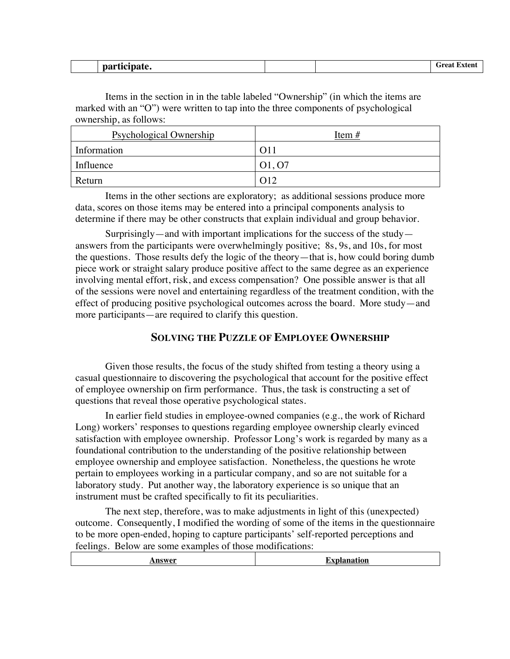| $\sim$ $\sim$ $\sim$ $\sim$ $\sim$<br>part<br>.<br>.<br>--- ---- |  | ∴roo*<br>™ten\ |
|------------------------------------------------------------------|--|----------------|
|                                                                  |  |                |

Items in the section in in the table labeled "Ownership" (in which the items are marked with an "O") were written to tap into the three components of psychological ownership, as follows:

| <b>Psychological Ownership</b> | Item $#$                        |
|--------------------------------|---------------------------------|
| Information                    | O11                             |
| Influence                      | O <sub>1</sub> , O <sub>7</sub> |
| Return                         | $\Omega$ 12                     |

Items in the other sections are exploratory; as additional sessions produce more data, scores on those items may be entered into a principal components analysis to determine if there may be other constructs that explain individual and group behavior.

Surprisingly—and with important implications for the success of the study answers from the participants were overwhelmingly positive; 8s, 9s, and 10s, for most the questions. Those results defy the logic of the theory—that is, how could boring dumb piece work or straight salary produce positive affect to the same degree as an experience involving mental effort, risk, and excess compensation? One possible answer is that all of the sessions were novel and entertaining regardless of the treatment condition, with the effect of producing positive psychological outcomes across the board. More study—and more participants—are required to clarify this question.

### **SOLVING THE PUZZLE OF EMPLOYEE OWNERSHIP**

Given those results, the focus of the study shifted from testing a theory using a casual questionnaire to discovering the psychological that account for the positive effect of employee ownership on firm performance. Thus, the task is constructing a set of questions that reveal those operative psychological states.

In earlier field studies in employee-owned companies (e.g., the work of Richard Long) workers' responses to questions regarding employee ownership clearly evinced satisfaction with employee ownership. Professor Long's work is regarded by many as a foundational contribution to the understanding of the positive relationship between employee ownership and employee satisfaction. Nonetheless, the questions he wrote pertain to employees working in a particular company, and so are not suitable for a laboratory study. Put another way, the laboratory experience is so unique that an instrument must be crafted specifically to fit its peculiarities.

The next step, therefore, was to make adjustments in light of this (unexpected) outcome. Consequently, I modified the wording of some of the items in the questionnaire to be more open-ended, hoping to capture participants' self-reported perceptions and feelings. Below are some examples of those modifications: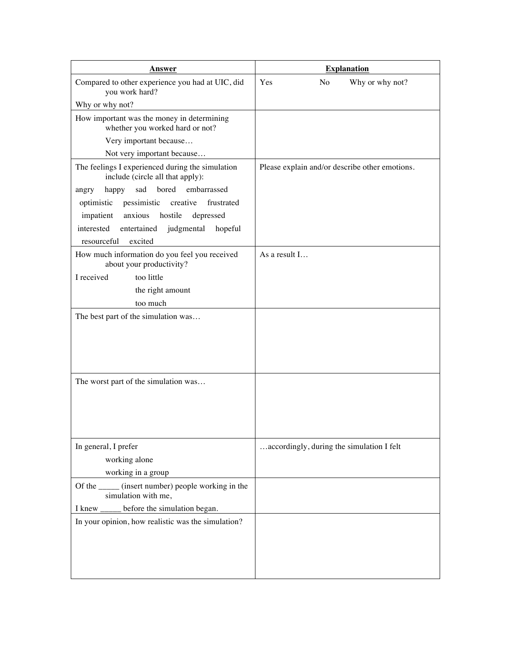| <b>Answer</b>                                                                        | <b>Explanation</b>                             |
|--------------------------------------------------------------------------------------|------------------------------------------------|
| Compared to other experience you had at UIC, did<br>you work hard?                   | Yes<br>N <sub>o</sub><br>Why or why not?       |
| Why or why not?                                                                      |                                                |
| How important was the money in determining<br>whether you worked hard or not?        |                                                |
| Very important because                                                               |                                                |
| Not very important because                                                           |                                                |
| The feelings I experienced during the simulation<br>include (circle all that apply): | Please explain and/or describe other emotions. |
| sad<br>bored<br>embarrassed<br>happy<br>angry                                        |                                                |
| pessimistic<br>creative<br>optimistic<br>frustrated                                  |                                                |
| hostile<br>depressed<br>impatient<br>anxious                                         |                                                |
| interested<br>entertained<br>judgmental<br>hopeful<br>resourceful<br>excited         |                                                |
| How much information do you feel you received<br>about your productivity?            | As a result I                                  |
| I received<br>too little                                                             |                                                |
| the right amount                                                                     |                                                |
| too much                                                                             |                                                |
| The best part of the simulation was                                                  |                                                |
| The worst part of the simulation was                                                 |                                                |
| In general, I prefer                                                                 | accordingly, during the simulation I felt      |
| working alone                                                                        |                                                |
| working in a group                                                                   |                                                |
| (insert number) people working in the<br>Of the<br>simulation with me,               |                                                |
| before the simulation began.<br>I knew $\frac{ }{ }$                                 |                                                |
| In your opinion, how realistic was the simulation?                                   |                                                |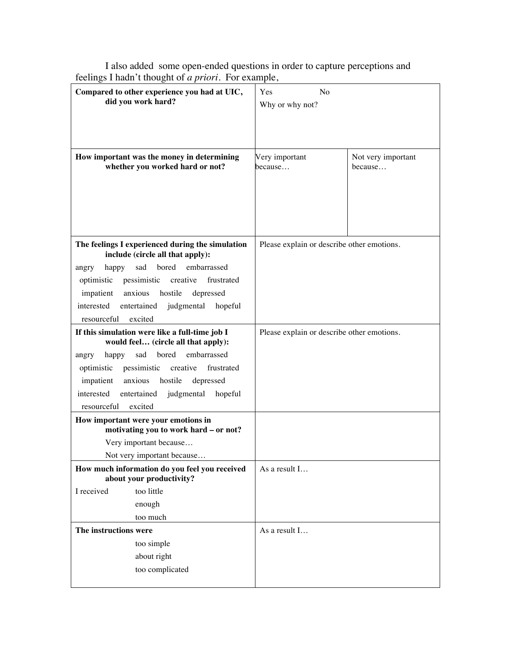| $\frac{1}{2}$ . The convergence of $\alpha$ priority to the example,                  |                                            |                    |  |
|---------------------------------------------------------------------------------------|--------------------------------------------|--------------------|--|
| Compared to other experience you had at UIC,                                          | Yes<br>No                                  |                    |  |
| did you work hard?                                                                    | Why or why not?                            |                    |  |
|                                                                                       |                                            |                    |  |
|                                                                                       |                                            |                    |  |
|                                                                                       |                                            |                    |  |
| How important was the money in determining                                            | Very important                             | Not very important |  |
| whether you worked hard or not?                                                       | because                                    | because            |  |
|                                                                                       |                                            |                    |  |
|                                                                                       |                                            |                    |  |
|                                                                                       |                                            |                    |  |
|                                                                                       |                                            |                    |  |
|                                                                                       |                                            |                    |  |
|                                                                                       |                                            |                    |  |
| The feelings I experienced during the simulation<br>include (circle all that apply):  | Please explain or describe other emotions. |                    |  |
| embarrassed<br>happy sad bored<br>angry                                               |                                            |                    |  |
| optimistic pessimistic creative frustrated                                            |                                            |                    |  |
| impatient anxious hostile depressed                                                   |                                            |                    |  |
| entertained judgmental hopeful<br>interested                                          |                                            |                    |  |
| resourceful<br>excited                                                                |                                            |                    |  |
| If this simulation were like a full-time job I<br>would feel (circle all that apply): | Please explain or describe other emotions. |                    |  |
| happy sad bored embarrassed<br>angry                                                  |                                            |                    |  |
| optimistic pessimistic creative<br>frustrated                                         |                                            |                    |  |
| impatient anxious hostile<br>depressed                                                |                                            |                    |  |
| interested<br>entertained judgmental hopeful                                          |                                            |                    |  |
| excited<br>resourceful                                                                |                                            |                    |  |
| How important were your emotions in                                                   |                                            |                    |  |
| motivating you to work hard - or not?                                                 |                                            |                    |  |
| Very important because                                                                |                                            |                    |  |
| Not very important because                                                            |                                            |                    |  |
| How much information do you feel you received                                         | As a result I                              |                    |  |
| about your productivity?                                                              |                                            |                    |  |
| I received<br>too little                                                              |                                            |                    |  |
| enough                                                                                |                                            |                    |  |
| too much                                                                              |                                            |                    |  |
| The instructions were                                                                 | As a result I                              |                    |  |
| too simple                                                                            |                                            |                    |  |
| about right                                                                           |                                            |                    |  |
|                                                                                       |                                            |                    |  |
| too complicated                                                                       |                                            |                    |  |
|                                                                                       |                                            |                    |  |

I also added some open-ended questions in order to capture perceptions and feelings I hadn't thought of *a priori*. For example,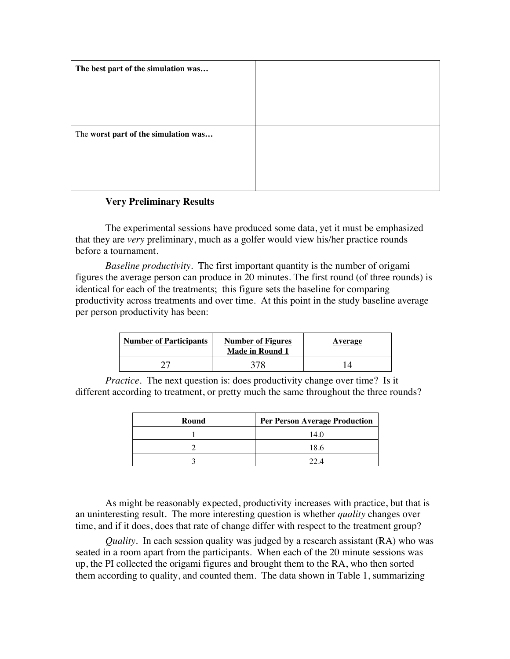| The best part of the simulation was  |  |
|--------------------------------------|--|
|                                      |  |
|                                      |  |
|                                      |  |
| The worst part of the simulation was |  |
|                                      |  |
|                                      |  |
|                                      |  |

### **Very Preliminary Results**

The experimental sessions have produced some data, yet it must be emphasized that they are *very* preliminary, much as a golfer would view his/her practice rounds before a tournament.

*Baseline productivity.* The first important quantity is the number of origami figures the average person can produce in 20 minutes. The first round (of three rounds) is identical for each of the treatments; this figure sets the baseline for comparing productivity across treatments and over time. At this point in the study baseline average per person productivity has been:

| <b>Number of Participants</b> | <b>Number of Figures</b><br><b>Made in Round 1</b> | Average |
|-------------------------------|----------------------------------------------------|---------|
| דר                            |                                                    |         |

*Practice.* The next question is: does productivity change over time? Is it different according to treatment, or pretty much the same throughout the three rounds?

| Round | <b>Per Person Average Production</b> |
|-------|--------------------------------------|
|       | 14.0                                 |
|       | 18.6                                 |
|       | 22 A                                 |

As might be reasonably expected, productivity increases with practice, but that is an uninteresting result. The more interesting question is whether *quality* changes over time, and if it does, does that rate of change differ with respect to the treatment group?

*Quality*. In each session quality was judged by a research assistant (RA) who was seated in a room apart from the participants. When each of the 20 minute sessions was up, the PI collected the origami figures and brought them to the RA, who then sorted them according to quality, and counted them. The data shown in Table 1, summarizing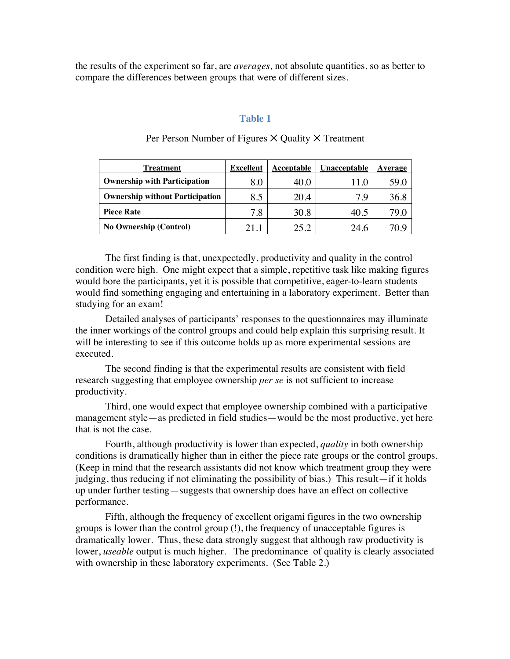the results of the experiment so far, are *averages,* not absolute quantities, so as better to compare the differences between groups that were of different sizes.

#### **Table 1**

| Treatment                              | <b>Excellent</b> | Acceptable | Unacceptable | Average |
|----------------------------------------|------------------|------------|--------------|---------|
| <b>Ownership with Participation</b>    | 8.0              | 40.0       |              | 59.0    |
| <b>Ownership without Participation</b> | 8.5              | 20.4       | 7.9          | 36.8    |
| <b>Piece Rate</b>                      | 7.8              | 30.8       | 40.5         |         |
| <b>No Ownership (Control)</b>          |                  | 25.2       | 24.6         |         |

### Per Person Number of Figures  $\times$  Quality  $\times$  Treatment

The first finding is that, unexpectedly, productivity and quality in the control condition were high. One might expect that a simple, repetitive task like making figures would bore the participants, yet it is possible that competitive, eager-to-learn students would find something engaging and entertaining in a laboratory experiment. Better than studying for an exam!

Detailed analyses of participants' responses to the questionnaires may illuminate the inner workings of the control groups and could help explain this surprising result. It will be interesting to see if this outcome holds up as more experimental sessions are executed.

The second finding is that the experimental results are consistent with field research suggesting that employee ownership *per se* is not sufficient to increase productivity.

Third, one would expect that employee ownership combined with a participative management style—as predicted in field studies—would be the most productive, yet here that is not the case.

Fourth, although productivity is lower than expected, *quality* in both ownership conditions is dramatically higher than in either the piece rate groups or the control groups. (Keep in mind that the research assistants did not know which treatment group they were judging, thus reducing if not eliminating the possibility of bias.) This result—if it holds up under further testing—suggests that ownership does have an effect on collective performance.

Fifth, although the frequency of excellent origami figures in the two ownership groups is lower than the control group (!), the frequency of unacceptable figures is dramatically lower. Thus, these data strongly suggest that although raw productivity is lower, *useable* output is much higher. The predominance of quality is clearly associated with ownership in these laboratory experiments. (See Table 2.)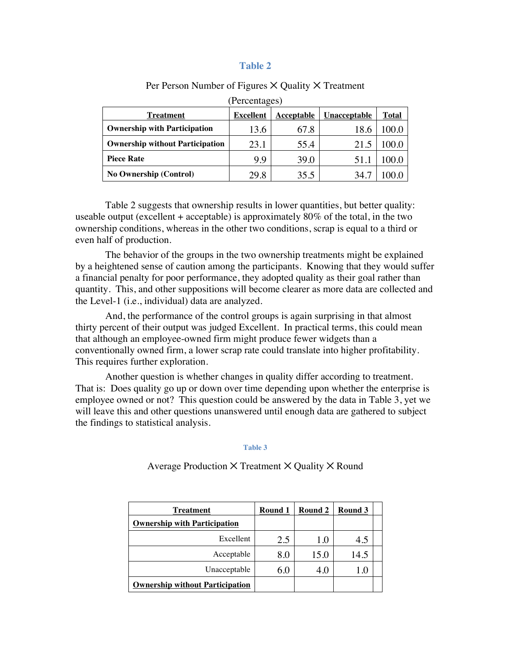### **Table 2**

| (Percentages)                          |                  |            |              |              |  |  |  |
|----------------------------------------|------------------|------------|--------------|--------------|--|--|--|
| <b>Treatment</b>                       | <b>Excellent</b> | Acceptable | Unacceptable | <b>Total</b> |  |  |  |
| <b>Ownership with Participation</b>    | 13.6             | 67.8       | 18.6         | 00.0         |  |  |  |
| <b>Ownership without Participation</b> | 23.1             | 55.4       | 21.5         | 00.0         |  |  |  |
| <b>Piece Rate</b>                      | 9.9              | 39.0       | 51.          |              |  |  |  |
| <b>No Ownership (Control)</b>          | 29.8             | 35.5       | 34.7         |              |  |  |  |

#### Per Person Number of Figures  $\times$  Quality  $\times$  Treatment

Table 2 suggests that ownership results in lower quantities, but better quality: useable output (excellent  $+$  acceptable) is approximately 80% of the total, in the two ownership conditions, whereas in the other two conditions, scrap is equal to a third or even half of production.

The behavior of the groups in the two ownership treatments might be explained by a heightened sense of caution among the participants. Knowing that they would suffer a financial penalty for poor performance, they adopted quality as their goal rather than quantity. This, and other suppositions will become clearer as more data are collected and the Level-1 (i.e., individual) data are analyzed.

And, the performance of the control groups is again surprising in that almost thirty percent of their output was judged Excellent. In practical terms, this could mean that although an employee-owned firm might produce fewer widgets than a conventionally owned firm, a lower scrap rate could translate into higher profitability. This requires further exploration.

Another question is whether changes in quality differ according to treatment. That is: Does quality go up or down over time depending upon whether the enterprise is employee owned or not? This question could be answered by the data in Table 3, yet we will leave this and other questions unanswered until enough data are gathered to subject the findings to statistical analysis.

#### **Table 3**

Average Production  $\times$  Treatment  $\times$  Quality  $\times$  Round

| Treatment                              | Round 1 | Round 2 | Round 3 |  |
|----------------------------------------|---------|---------|---------|--|
| <b>Ownership with Participation</b>    |         |         |         |  |
| Excellent                              | 2.5     | 1.0     | 4.5     |  |
| Acceptable                             | 8.0     | 15.0    | 14.5    |  |
| Unacceptable                           | 6.0     | 4.0     | .U      |  |
| <b>Ownership without Participation</b> |         |         |         |  |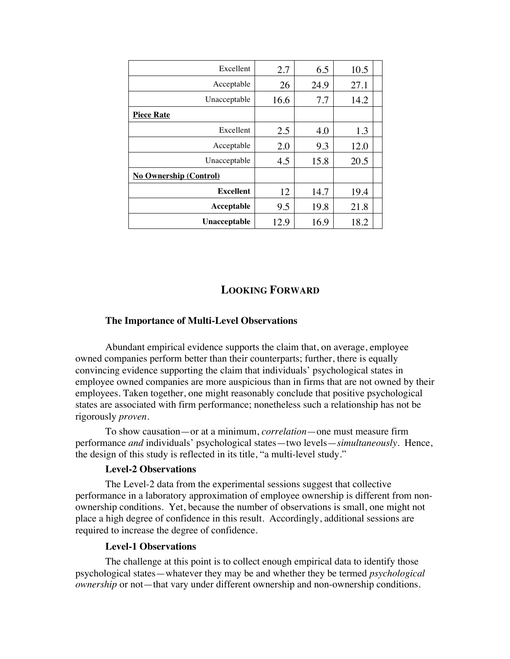| Excellent                     | 2.7  | 6.5  | 10.5 |  |
|-------------------------------|------|------|------|--|
| Acceptable                    | 26   | 24.9 | 27.1 |  |
| Unacceptable                  | 16.6 | 7.7  | 14.2 |  |
| <b>Piece Rate</b>             |      |      |      |  |
| Excellent                     | 2.5  | 4.0  | 1.3  |  |
| Acceptable                    | 2.0  | 9.3  | 12.0 |  |
| Unacceptable                  | 4.5  | 15.8 | 20.5 |  |
| <b>No Ownership (Control)</b> |      |      |      |  |
| <b>Excellent</b>              | 12   | 14.7 | 19.4 |  |
| Acceptable                    | 9.5  | 19.8 | 21.8 |  |
| Unacceptable                  | 12.9 | 16.9 | 18.2 |  |

### **LOOKING FORWARD**

### **The Importance of Multi-Level Observations**

Abundant empirical evidence supports the claim that, on average, employee owned companies perform better than their counterparts; further, there is equally convincing evidence supporting the claim that individuals' psychological states in employee owned companies are more auspicious than in firms that are not owned by their employees. Taken together, one might reasonably conclude that positive psychological states are associated with firm performance; nonetheless such a relationship has not be rigorously *proven*.

To show causation—or at a minimum, *correlation*—one must measure firm performance *and* individuals' psychological states—two levels—*simultaneously*. Hence, the design of this study is reflected in its title, "a multi-level study."

### **Level-2 Observations**

The Level-2 data from the experimental sessions suggest that collective performance in a laboratory approximation of employee ownership is different from nonownership conditions. Yet, because the number of observations is small, one might not place a high degree of confidence in this result. Accordingly, additional sessions are required to increase the degree of confidence.

#### **Level-1 Observations**

The challenge at this point is to collect enough empirical data to identify those psychological states—whatever they may be and whether they be termed *psychological ownership* or not—that vary under different ownership and non-ownership conditions.